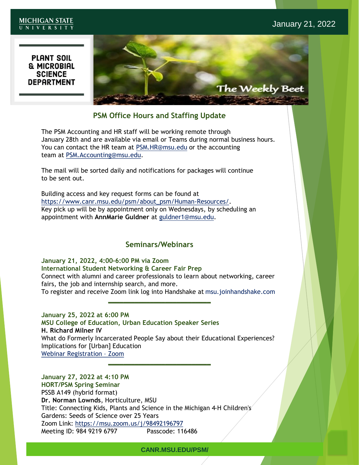#### **MICHIGAN STATE** UNIVERSITY

# **PLANT SOIL** & MICROBIAL<br>SCIENCE<br>DEPARTMENT



# **PSM Office Hours and Staffing Update**

The PSM Accounting and HR staff will be working remote through January 28th and are available via email or Teams during normal business hours. You can contact the HR team at [PSM.HR@msu.edu](mailto:PSM.HR@msu.edu) or the accounting team at [PSM.Accounting@msu.edu.](mailto:PSM.Accounting@msu.edu)

The mail will be sorted daily and notifications for packages will continue to be sent out.

Building access and key request forms can be found at [https://www.canr.msu.edu/psm/about\\_psm/Human-Resources/.](https://www.canr.msu.edu/psm/about_psm/Human-Resources/) Key pick up will be by appointment only on Wednesdays, by scheduling an appointment with **AnnMarie Guldner** at [guldner1@msu.edu.](mailto:guldner1@msu.edu)

# **Seminars/Webinars**

**January 21, 2022, 4:00-6:00 PM via Zoom International Student Networking & Career Fair Prep** Connect with alumni and career professionals to learn about networking, career fairs, the job and internship search, and more. To register and receive Zoom link log into Handshake at msu.joinhandshake.com **\_\_\_\_\_\_\_\_\_\_\_\_\_\_\_\_\_\_\_\_\_\_\_\_\_\_\_**

## **January 25, 2022 at 6:00 PM**

**MSU College of Education, Urban Education Speaker Series H. Richard Milner IV** What do Formerly Incarcerated People Say about their Educational Experiences? Implications for [Urban] Education [Webinar Registration](https://msu.zoom.us/webinar/register/WN_4enR-AwdSleNbd0WuTtgag) – Zoom

**\_\_\_\_\_\_\_\_\_\_\_\_\_\_\_\_\_\_\_\_\_\_\_\_\_\_\_**

**January 27, 2022 at 4:10 PM HORT/PSM Spring Seminar** PSSB A149 (hybrid format) **Dr. Norman Lownds**, Horticulture, MSU Title: Connecting Kids, Plants and Science in the Michigan 4-H Children's Gardens: Seeds of Science over 25 Years Zoom Link:<https://msu.zoom.us/j/98492196797> Meeting ID: 984 9219 6797 Passcode: 116486

#### **CANR.MSU.EDU/PSM/**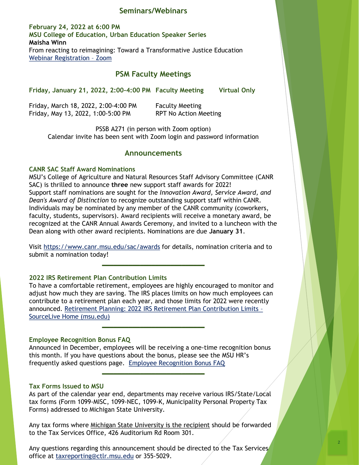#### **Seminars/Webinars**

**February 24, 2022 at 6:00 PM MSU College of Education, Urban Education Speaker Series Maisha Winn** From reacting to reimagining: Toward a Transformative Justice Education [Webinar Registration](https://msu.zoom.us/webinar/register/WN_Ix2e8DoqTMS8xbhet976qA) – Zoom

## **PSM Faculty Meetings**

**Friday, January 21, 2022, 2:00-4:00 PM Faculty Meeting Virtual Only**

Friday, March 18, 2022, 2:00-4:00 PM Faculty Meeting Friday, May 13, 2022, 1:00-5:00 PM RPT No Action Meeting

PSSB A271 (in person with Zoom option) Calendar invite has been sent with Zoom login and password information

#### **Announcements**

#### **CANR SAC Staff Award Nominations**

MSU's College of Agriculture and Natural Resources Staff Advisory Committee (CANR SAC) is thrilled to announce **three** new support staff awards for 2022! Support staff nominations are sought for the *Innovation Award, Service Award, and Dean's Award of Distinction* to recognize outstanding support staff within CANR. Individuals may be nominated by any member of the CANR community (coworkers, faculty, students, supervisors). Award recipients will receive a monetary award, be recognized at the CANR Annual Awards Ceremony, and invited to a luncheon with the Dean along with other award recipients. Nominations are due **January 31**.

Visit<https://www.canr.msu.edu/sac/awards> for details, nomination criteria and to submit a nomination today!

**\_\_\_\_\_\_\_\_\_\_\_\_\_\_\_\_\_\_\_\_\_\_\_\_\_\_\_**

#### **2022 IRS Retirement Plan Contribution Limits**

To have a comfortable retirement, employees are highly encouraged to monitor and adjust how much they are saving. The IRS places limits on how much employees can contribute to a retirement plan each year, and those limits for 2022 were recently [announced. Retirement Planning: 2022 IRS Retirement Plan Contribution Limits](https://sourcelive.hr.msu.edu/?p=16192%3Fsc_camp%3D14CD019AFA0748EE8B69B95803741D92&utm_source=insidemsu-email&utm_medium=email&utm_campaign=standard-promo) – SourceLive Home (msu.edu)

**\_\_\_\_\_\_\_\_\_\_\_\_\_\_\_\_\_\_\_\_\_\_\_\_\_\_\_**

#### **Employee Recognition Bonus FAQ**

Announced in December, employees will be receiving a one-time recognition bonus this month. If you have questions about the bonus, please see the MSU HR's frequently asked questions page. Employee [Recognition Bonus FAQ](https://hr.msu.edu/news/employee-recognition-bonus-faqs.html?sc_camp=14CD019AFA0748EE8B69B95803741D92&utm_source=insidemsu-email&utm_medium=email&utm_campaign=standard-pro) 

**\_\_\_\_\_\_\_\_\_\_\_\_\_\_\_\_\_\_\_\_\_\_\_\_\_\_\_**

#### **Tax Forms Issued to MSU**

As part of the calendar year end, departments may receive various IRS/State/Local tax forms (Form 1099-MISC, 1099-NEC, 1099-K, Municipality Personal Property Tax Forms) addressed to Michigan State University.

Any tax forms where Michigan State University is the recipient should be forwarded to the Tax Services Office, 426 Auditorium Rd Room 301.

Any questions regarding this announcement should be directed to the Tax Services office at [taxreporting@ctlr.msu.edu](mailto:taxreporting@ctlr.msu.edu) or 355-5029.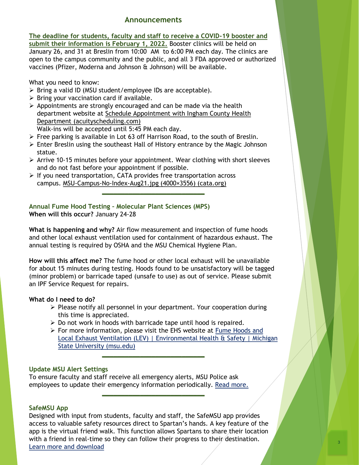## **Announcements**

**The deadline for students, faculty and staff to receive a COVID-19 booster and submit their information is February 1, 2022.** Booster clinics will be held on January 26, and 31 at Breslin from 10:00 AM to 6:00 PM each day. The clinics are open to the campus community and the public, and all 3 FDA approved or authorized vaccines (Pfizer, Moderna and Johnson & Johnson) will be available.

What you need to know:

- ➢ Bring a valid ID (MSU student/employee IDs are acceptable).
- $\triangleright$  Bring your vaccination card if available.
- $\triangleright$  Appointments are strongly encouraged and can be made via the health department website at [Schedule Appointment with Ingham County Health](https://app.acuityscheduling.com/schedule.php?owner=21488751&appointmentType=29672394) Department (acuityscheduling.com) Walk-ins will be accepted until 5:45 PM each day.
- $\triangleright$  Free parking is available in Lot 63 off Harrison Road, to the south of Breslin.
- ➢ Enter Breslin using the southeast Hall of History entrance by the Magic Johnson statue.
- $\triangleright$  Arrive 10-15 minutes before your appointment. Wear clothing with short sleeves and do not fast before your appointment if possible.

**\_\_\_\_\_\_\_\_\_\_\_\_\_\_\_\_\_\_\_\_\_\_\_\_\_\_\_**

➢ If you need transportation, CATA provides free transportation across campus. [MSU-Campus-No-Index-Aug21.jpg \(4000×3556\) \(cata.org\)](https://www.cata.org/Portals/0/MSU-Campus-No-Index-Aug21.jpg)

**Annual Fume Hood Testing – Molecular Plant Sciences (MPS) When will this occur?** January 24-28

**What is happening and why?** Air flow measurement and inspection of fume hoods and other local exhaust ventilation used for containment of hazardous exhaust. The annual testing is required by OSHA and the MSU Chemical Hygiene Plan.

**How will this affect me?** The fume hood or other local exhaust will be unavailable for about 15 minutes during testing. Hoods found to be unsatisfactory will be tagged (minor problem) or barricade taped (unsafe to use) as out of service. Please submit an IPF Service Request for repairs.

#### **What do I need to do?**

- ➢ Please notify all personnel in your department. Your cooperation during this time is appreciated.
- $\triangleright$  Do not work in hoods with barricade tape until hood is repaired.

**\_\_\_\_\_\_\_\_\_\_\_\_\_\_\_\_\_\_\_\_\_\_\_\_\_\_\_**

**\_\_\_\_\_\_\_\_\_\_\_\_\_\_\_\_\_\_\_\_\_\_\_\_\_\_\_**

➢ For more information, please visit the EHS website at Fume Hoods and [Local Exhaust Ventilation \(LEV\) | Environmental Health & Safety | Michigan](https://ehs.msu.edu/lab-clinic/chem/fume-hoods.html)  State University (msu.edu)

#### **Update MSU Alert Settings**

To ensure faculty and staff receive all emergency alerts, MSU Police ask employees to update their emergency information periodically. [Read more.](https://alert.msu.edu/?sc_camp=14CD019AFA0748EE8B69B95803741D92&utm_source=insidemsu-email&utm_medium=email&utm_campaign=standard-promo)

#### **SafeMSU App**

Designed with input from students, faculty and staff, the SafeMSU app provides access to valuable safety resources direct to Spartan's hands. A key feature of the app is the virtual friend walk. This function allows Spartans to share their location with a friend in real-time so they can follow their progress to their destination. [Learn more and download](https://police.msu.edu/safemsu/?sc_camp=C5792E5D342B45C688982386A82A7829&utm_source=msudaily-email&utm_medium=email&utm_campaign=standard-promo&utm_content=text6)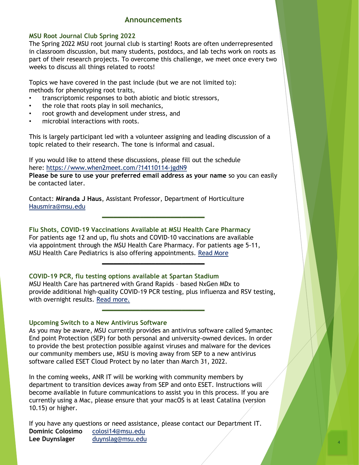## **Announcements**

#### **MSU Root Journal Club Spring 2022**

The Spring 2022 MSU root journal club is starting! Roots are often underrepresented in classroom discussion, but many students, postdocs, and lab techs work on roots as part of their research projects. To overcome this challenge, we meet once every two weeks to discuss all things related to roots!

Topics we have covered in the past include (but we are not limited to): methods for phenotyping root traits,

- transcriptomic responses to both abiotic and biotic stressors,
- the role that roots play in soil mechanics,
- root growth and development under stress, and
- microbial interactions with roots.

This is largely participant led with a volunteer assigning and leading discussion of a topic related to their research. The tone is informal and casual.

If you would like to attend these discussions, please fill out the schedule here: <https://www.when2meet.com/?14110114-jgdN9>

**Please be sure to use your preferred email address as your name** so you can easily be contacted later.

**\_\_\_\_\_\_\_\_\_\_\_\_\_\_\_\_\_\_\_\_\_\_\_\_\_\_\_**

Contact: **Miranda J Haus**, Assistant Professor, Department of Horticulture [Hausmira@msu.edu](mailto:Hausmira@msu.edu)

**Flu Shots, COVID-19 Vaccinations Available at MSU Health Care Pharmacy** For patients age 12 and up, flu shots and COVID-10 vaccinations are available via appointment through the MSU Health Care Pharmacy. For patients age 5-11, MSU Health Care Pediatrics is also offering appointments. [Read More](https://pharmacy.msu.edu/?sc_camp=14CD019AFA0748EE8B69B95803741D92&utm_source=insidemsu-email&utm_medium=email&utm_campaign=standard-promo)

**COVID-19 PCR, flu testing options available at Spartan Stadium** MSU Health Care has partnered with Grand Rapids – based NxGen MDx to provide additional high-quality COVID-19 PCR testing, plus influenza and RSV testing, with overnight results. [Read more.](https://healthcare.msu.edu/COVID-19/covid-testing.aspx?sc_camp=14CD019AFA0748EE8B69B95803741D92&utm_source=insidemsu-email&utm_medium=email&utm_campaign=standard-promo) **\_\_\_\_\_\_\_\_\_\_\_\_\_\_\_\_\_\_\_\_\_\_\_\_\_\_\_**

**\_\_\_\_\_\_\_\_\_\_\_\_\_\_\_\_\_\_\_\_\_\_\_\_\_\_\_**

#### **Upcoming Switch to a New Antivirus Software**

As you may be aware, MSU currently provides an antivirus software called Symantec End point Protection (SEP) for both personal and university-owned devices. In order to provide the best protection possible against viruses and malware for the devices our community members use, MSU is moving away from SEP to a new antivirus software called ESET Cloud Protect by no later than March 31, 2022.

In the coming weeks, ANR IT will be working with community members by department to transition devices away from SEP and onto ESET. Instructions will become available in future communications to assist you in this process. If you are currently using a Mac, please ensure that your macOS is at least Catalina (version 10.15) or higher.

If you have any questions or need assistance, please contact our Department IT. **Dominic Colosimo** [colosi14@msu.edu](mailto:colosi14@msu.edu) **Lee Duynslager** [duynslag@msu.edu](mailto:duynslag@msu.edu)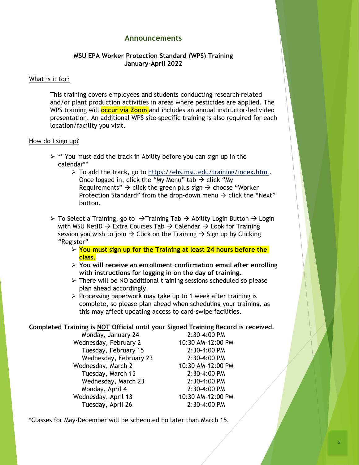## **Announcements**

### **MSU EPA Worker Protection Standard (WPS) Training January-April 2022**

#### What is it for?

This training covers employees and students conducting research-related and/or plant production activities in areas where pesticides are applied. The WPS training will **occur via Zoom** and includes an annual instructor-led video presentation. An additional WPS site-specific training is also required for each location/facility you visit.

#### How do I sign up?

- $\triangleright$  \*\* You must add the track in Ability before you can sign up in the calendar\*\*
	- ➢ To add the track, go to <https://ehs.msu.edu/training/index.html>. Once logged in, click the "My Menu" tab  $\rightarrow$  click "My Requirements"  $\rightarrow$  click the green plus sign  $\rightarrow$  choose "Worker Protection Standard" from the drop-down menu  $\rightarrow$  click the "Next" button.
- ➢ To Select a Training, go to →Training Tab → Ability Login Button → Login with MSU NetID  $\rightarrow$  Extra Courses Tab  $\rightarrow$  Calendar  $\rightarrow$  Look for Training session you wish to join  $\rightarrow$  Click on the Training  $\rightarrow$  Sign up by Clicking "Register"
	- ➢ **You must sign up for the Training at least 24 hours before the class.**
	- ➢ **You will receive an enrollment confirmation email after enrolling with instructions for logging in on the day of training.**
	- ➢ There will be NO additional training sessions scheduled so please plan ahead accordingly.
	- ➢ Processing paperwork may take up to 1 week after training is complete, so please plan ahead when scheduling your training, as this may affect updating access to card-swipe facilities.

#### **Completed Training is NOT Official until your Signed Training Record is received.**

Monday, January 24 2:30-4:00 PM Wednesday, February 2 10:30 AM-12:00 PM Tuesday, February 15 2:30-4:00 PM Wednesday, February 23 2:30-4:00 PM Wednesday, March 2 10:30 AM-12:00 PM Tuesday, March 15 2:30-4:00 PM Wednesday, March 23 2:30-4:00 PM Monday, April 4 2:30-4:00 PM Wednesday, April 13 10:30 AM-12:00 PM Tuesday, April 26 2:30-4:00 PM

\*Classes for May-December will be scheduled no later than March 15.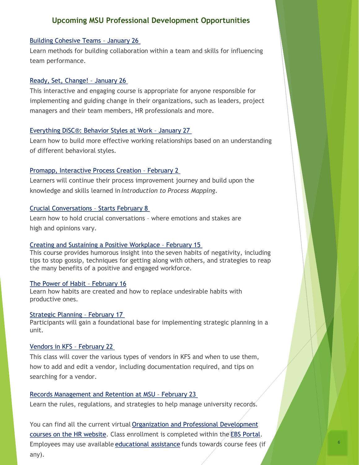## **Upcoming MSU Professional Development Opportunities**

#### [Building Cohesive Teams](https://hr.msu.edu/professional-development/courses/management/building-cohesive-teams.html) – January 26

Learn methods for building collaboration within a team and skills for influencing team performance.

#### [Ready, Set, Change!](https://hr.msu.edu/professional-development/courses/personal-development/ready-set-change.html) – January 26

This interactive and engaging course is appropriate for anyone responsible for implementing and guiding change in their organizations, such as leaders, project managers and their team members, HR professionals and more.

#### [Everything DiSC®: Behavior Styles at Work](https://hr.msu.edu/professional-development/courses/personal-development/everything-disc.html) – January 27

Learn how to build more effective working relationships based on an understanding of different behavioral styles.

#### [Promapp, Interactive Process Creation](https://hr.msu.edu/professional-development/courses/business-analysis/promapp-interactive-process-creation.html) - February 2

Learners will continue their process improvement journey and build upon the knowledge and skills learned in *Introduction to Process Mapping*.

#### [Crucial Conversations](https://hr.msu.edu/professional-development/courses/communication/crucial-conversations.html) – Starts February 8

Learn how to hold crucial conversations – where emotions and stakes are high and opinions vary.

#### [Creating and Sustaining a Positive Workplace](https://hr.msu.edu/professional-development/courses/personal-development/creating-and-sustaining-a-positive-workplace.html) – February 15

This course provides humorous insight into the seven habits of negativity, including tips to stop gossip, techniques for getting along with others, and strategies to reap the many benefits of a positive and engaged workforce.

#### [The Power of Habit](https://hr.msu.edu/professional-development/courses/personal-development/power-of-habit.html) – February 16

Learn how habits are created and how to replace undesirable habits with productive ones.

#### [Strategic Planning](https://hr.msu.edu/professional-development/courses/leadership/strategic-planning.html) – February 17

Participants will gain a foundational base for implementing strategic planning in a unit.

#### [Vendors in KFS](https://hr.msu.edu/professional-development/courses/finance-accounting/vendors-in-kfs.html) – February 22

This class will cover the various types of vendors in KFS and when to use them, how to add and edit a vendor, including documentation required, and tips on searching for a vendor.

#### [Records Management and Retention at MSU](https://hr.msu.edu/professional-development/courses/operations/records-management-and-retention.html) – February 23

Learn the rules, regulations, and strategies to help manage university records.

You can find all the current virtual Organization and Professional Development [courses on the HR website. Class enrollment is completed within the](https://hr.msu.edu/professional-development/courses/) [EBS Portal.](http://ebs.msu.edu/) Employees may use available [educational assistance](https://hr.msu.edu/professional-development/tuition-assist.html) funds towards course fees (if any).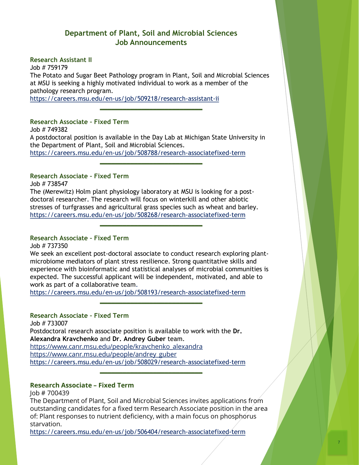## **Department of Plant, Soil and Microbial Sciences Job Announcements**

**Research Assistant II**

Job # 759179 The Potato and Sugar Beet Pathology program in Plant, Soil and Microbial Sciences at MSU is seeking a highly motivated individual to work as a member of the pathology research program. <https://careers.msu.edu/en-us/job/509218/research-assistant-ii>

**\_\_\_\_\_\_\_\_\_\_\_\_\_\_\_\_\_\_\_\_\_\_\_\_\_\_\_**

**Research Associate – Fixed Term**

Job # 749382 A postdoctoral position is available in the Day Lab at Michigan State University in the Department of Plant, Soil and Microbial Sciences. <https://careers.msu.edu/en-us/job/508788/research-associatefixed-term>

**\_\_\_\_\_\_\_\_\_\_\_\_\_\_\_\_\_\_\_\_\_\_\_\_\_\_\_**

## **Research Associate – Fixed Term**

Job # 738547

The (Merewitz) Holm plant physiology laboratory at MSU is looking for a postdoctoral researcher. The research will focus on winterkill and other abiotic stresses of turfgrasses and agricultural grass species such as wheat and barley. <https://careers.msu.edu/en-us/job/508268/research-associatefixed-term>

## **Research Associate – Fixed Term**

Job # 737350

We seek an excellent post-doctoral associate to conduct research exploring plantmicrobiome mediators of plant stress resilience. Strong quantitative skills and experience with bioinformatic and statistical analyses of microbial communities is expected. The successful applicant will be independent, motivated, and able to work as part of a collaborative team.

**\_\_\_\_\_\_\_\_\_\_\_\_\_\_\_\_\_\_\_\_\_\_\_\_\_\_\_**

**\_\_\_\_\_\_\_\_\_\_\_\_\_\_\_\_\_\_\_\_\_\_\_\_\_\_\_**

<https://careers.msu.edu/en-us/job/508193/research-associatefixed-term>

## **Research Associate – Fixed Term**

Job # 733007 Postdoctoral research associate position is available to work with the **Dr. Alexandra Kravchenko** and **Dr. Andrey Guber** team. [https://www.canr.msu.edu/people/kravchenko\\_alexandra](https://www.canr.msu.edu/people/kravchenko_alexandra) [https://www.canr.msu.edu/people/andrey\\_guber](https://www.canr.msu.edu/people/andrey_guber) <https://careers.msu.edu/en-us/job/508029/research-associatefixed-term>

## **Research Associate – Fixed Term**

Job # 700439

The Department of Plant, Soil and Microbial Sciences invites applications from outstanding candidates for a fixed term Research Associate position in the area of: Plant responses to nutrient deficiency, with a main focus on phosphorus starvation.

**\_\_\_\_\_\_\_\_\_\_\_\_\_\_\_\_\_\_\_\_\_\_\_\_\_\_\_**

<https://careers.msu.edu/en-us/job/506404/research-associatefixed-term>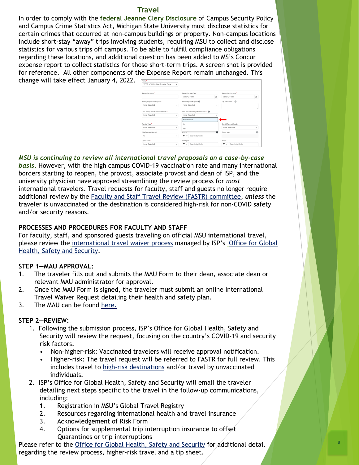#### **Travel**

In order to comply with the **federal Jeanne Clery Disclosure** of Campus Security Policy and Campus Crime Statistics Act, Michigan State University must disclose statistics for certain crimes that occurred at non-campus buildings or property. Non-campus locations include short-stay "away" trips involving students, requiring MSU to collect and disclose statistics for various trips off campus. To be able to fulfill compliance obligations regarding these locations, and additional question has been added to MS's Concur expense report to collect statistics for those short-term trips. A screen shot is provided for reference. All other components of the Expense Report remain unchanged. This

change will take effect January 4, 2022.

| Policy <sup>*</sup>                       |              |                                          |          |                               |   |
|-------------------------------------------|--------------|------------------------------------------|----------|-------------------------------|---|
| *TEST MSU-Profiled Traveler Expe          | $\checkmark$ |                                          |          |                               |   |
| Report/Trip Name *                        |              | Report/Trip Start Date *                 |          | Report/Trip End Date *        |   |
|                                           |              | MM/DD/YYYY                               | 画        | MM/DD/YYYY                    | 圃 |
| himary Report/Trip Purpose *              |              | Secondary Trip Purpose @                 |          | Trip Description * @          |   |
| None Selected                             | $\checkmark$ | None Selected                            | v        |                               |   |
| Does this trip include personal travel? * |              | Were MSU students part of this trip? * @ |          |                               |   |
| None Selected<br>$\sim$                   |              | None Selected                            | $\sim$   |                               |   |
|                                           |              | None Selected                            |          |                               |   |
| Fraveler Type *                           |              | No                                       |          | Special Payment Needs         |   |
| None Selected                             | $\checkmark$ | Yes                                      |          | None Selected<br>$\checkmark$ |   |
| Nire Payment Needed?                      |              | Account <sup>*</sup>                     | $\Omega$ | Subaccount                    | Đ |
| No                                        | v            | Search by Code<br>۳<br>$\checkmark$      |          |                               |   |
|                                           |              | SubObject                                |          | Project                       |   |
| Dbject Code <sup>*</sup>                  |              |                                          |          |                               |   |

*MSU is continuing to review all international travel proposals on a case-by-case basis.* However, with the high campus COVID-19 vaccination rate and many international borders starting to reopen, the provost, associate provost and dean of ISP, and the university physician have approved streamlining the review process for *most* international travelers. Travel requests for faculty, staff and guests no longer require additional review by the [Faculty and Staff Travel Review \(FASTR\) committee,](https://globalsafety.isp.msu.edu/about/faculty-and-staff-travel-review-committee-fastr/) *unless* the traveler is unvaccinated or the destination is considered high-risk for non-COVID safety and/or security reasons.

## **PROCESSES AND PROCEDURES FOR FACULTY AND STAFF**

For faculty, staff, and sponsored guests traveling on official MSU international travel, please review the [international travel waiver proces](https://globalsafety.isp.msu.edu/travel-during-covid-19-pandemic/international-travel/)[s](https://globalsafety.isp.msu.edu/) managed by ISP's Office for Global Health, Safety and Security.

## **STEP 1—MAU APPROVAL:**

- 1. The traveler fills out and submits the MAU Form to their dean, associate dean or relevant MAU administrator for approval.
- 2. Once the MAU Form is signed, the traveler must submit an online International Travel Waiver Request detailing their health and safety plan.
- 3. The MAU can be found [here.](https://globalsafety.isp.msu.edu/files/8016/2014/5639/MAU_approval_intl_travel_v05042021.pdf)

## **STEP 2—REVIEW:**

- 1. Following the submission process, ISP's Office for Global Health, Safety and Security will review the request, focusing on the country's COVID-19 and security risk factors.
	- Non–higher-risk: Vaccinated travelers will receive approval notification.
	- Higher-risk: The travel request will be referred to FASTR for full review. This includes travel to [high-risk destinations](https://globalsafety.isp.msu.edu/faculty-and-staff/high-risk-destinations/country-travel-risk-levels/) and/or travel by unvaccinated individuals.

8

- 2. ISP's Office for Global Health, Safety and Security will email the traveler detailing next steps specific to the travel in the follow-up communications, including:
	- 1. Registration in MSU's Global Travel Registry
	- 2. Resources regarding international health and travel insurance
	- 3. Acknowledgement of Risk Form
	- 4. Options for supplemental trip interruption insurance to offset Quarantines or trip interruptions

Please refer to the [Office for Global Health, Safety and Security](http://globalsafety.msu.edu/) for additional detail regarding the review process, higher-risk travel and a tip sheet.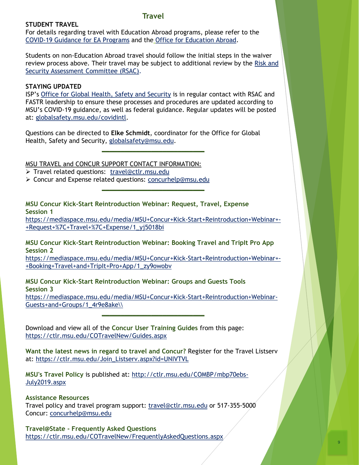## **Travel**

#### **STUDENT TRAVEL**

For details regarding travel with Education Abroad programs, please refer to the [COVID-19 Guidance for EA Programs](https://globalsafety.isp.msu.edu/faculty-and-staff/education-abroad-program-directors/covid-19-guidance/) and the [Office for Education Abroad](https://educationabroad.isp.msu.edu/).

Students on non-Education Abroad travel should follow the initial steps in the waiver [review process above. Their travel may be subject to additional review by the Risk and](https://globalsafety.isp.msu.edu/about/risk-and-security-assessment-committee/) Security Assessment Committee (RSAC).

## **STAYING UPDATED**

ISP's [Office for Global Health, Safety and Security](https://globalsafety.isp.msu.edu/) is in regular contact with RSAC and FASTR leadership to ensure these processes and procedures are updated according to MSU's COVID-19 guidance, as well as federal guidance. Regular updates will be posted at: [globalsafety.msu.edu/covidintl](http://www.globalsafety.msu.edu/covidintl).

**\_\_\_\_\_\_\_\_\_\_\_\_\_\_\_\_\_\_\_\_\_\_\_\_\_\_\_**

Questions can be directed to **Elke Schmidt**, coordinator for the Office for Global Health, Safety and Security, [globalsafety@msu.edu.](mailto:globalsafety@msu.edu)

MSU TRAVEL and CONCUR SUPPORT CONTACT INFORMATION: ➢ Travel related questions: [travel@ctlr.msu.edu](mailto:travel@ctlr.msu.edu)

➢ Concur and Expense related questions: [concurhelp@msu.edu](mailto:concurhelp@msu.edu) **\_\_\_\_\_\_\_\_\_\_\_\_\_\_\_\_\_\_\_\_\_\_\_\_\_\_\_**

**MSU Concur Kick-Start Reintroduction Webinar: Request, Travel, Expense Session 1**

[https://mediaspace.msu.edu/media/MSU+Concur+Kick-Start+Reintroduction+Webinar+-](https://mediaspace.msu.edu/media/MSU+Concur+Kick-Start+Reintroduction+Webinar+-+Request+%7C+Travel+%7C+Expense/1_yj5018bi) +Request+%7C+Travel+%7C+Expense/1\_yj5018bi

**MSU Concur Kick-Start Reintroduction Webinar: Booking Travel and TripIt Pro App Session 2**

[https://mediaspace.msu.edu/media/MSU+Concur+Kick-Start+Reintroduction+Webinar+-](https://mediaspace.msu.edu/media/MSU+Concur+Kick-Start+Reintroduction+Webinar+-+Booking+Travel+and+TripIt+Pro+App/1_zy9owobv) +Booking+Travel+and+TripIt+Pro+App/1\_zy9owobv

**MSU Concur Kick-Start Reintroduction Webinar: Groups and Guests Tools Session 3** [https://mediaspace.msu.edu/media/MSU+Concur+Kick-Start+Reintroduction+Webinar-](https://mediaspace.msu.edu/media/MSU+Concur+Kick-Start+Reintroduction+Webinar-Guests+and+Groups/1_4r9e8ake/)

Guests+and+Groups/1\_4r9e8ake\\ **\_\_\_\_\_\_\_\_\_\_\_\_\_\_\_\_\_\_\_\_\_\_\_\_\_\_\_**

Download and view all of the **Concur User Training Guides** from this page: <https://ctlr.msu.edu/COTravelNew/Guides.aspx>

**Want the latest news in regard to travel and Concur?** Register for the Travel Listserv at: [https://ctlr.msu.edu/Join\\_Listserv.aspx?id=UNIVTVL](https://ctlr.msu.edu/Join_Listserv.aspx?id=UNIVTVL)

**MSU's Travel Policy** [is published at: http://ctlr.msu.edu/COMBP/mbp70ebs-](http://ctlr.msu.edu/COMBP/mbp70ebs-July2019.aspx)July2019.aspx

**Assistance Resources**

Travel policy and travel program support: [travel@ctlr.msu.edu](mailto:travel@ctlr.msu.edu) or 517-355-5000 Concur: [concurhelp@msu.edu](mailto:concurhelp@msu.edu)

**Travel@State - Frequently Asked Questions** <https://ctlr.msu.edu/COTravelNew/FrequentlyAskedQuestions.aspx>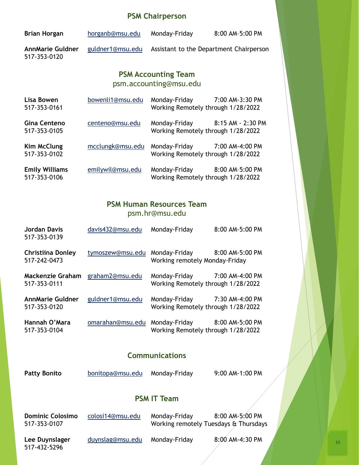# **PSM Chairperson**

| <b>Brian Horgan</b>                                  | horganb@msu.edu  | Monday-Friday                                                       | 8:00 AM-5:00 PM   |  |
|------------------------------------------------------|------------------|---------------------------------------------------------------------|-------------------|--|
| <b>AnnMarie Guldner</b><br>517-353-0120              | guldner1@msu.edu | Assistant to the Department Chairperson                             |                   |  |
| <b>PSM Accounting Team</b><br>psm.accounting@msu.edu |                  |                                                                     |                   |  |
| Lisa Bowen<br>517-353-0161                           | bowenli1@msu.edu | Monday-Friday<br>Working Remotely through 1/28/2022                 | 7:00 AM-3:30 PM   |  |
| <b>Gina Centeno</b><br>517-353-0105                  | centeno@msu.edu  | Monday-Friday<br>Working Remotely through 1/28/2022                 | 8:15 AM - 2:30 PM |  |
| Kim McClung<br>517-353-0102                          | mcclungk@msu.edu | Monday-Friday 7:00 AM-4:00 PM<br>Working Remotely through 1/28/2022 |                   |  |
| <b>Emily Williams</b><br>517-353-0106                | emilywil@msu.edu | Monday-Friday<br>Working Remotely through 1/28/2022                 | 8:00 AM-5:00 PM   |  |

# **PSM Human Resources Team** psm.hr@msu.edu

| Jordan Davis<br>517-353-0139             | davis432@msu.edu | Monday-Friday                                                       | 8:00 AM-5:00 PM |
|------------------------------------------|------------------|---------------------------------------------------------------------|-----------------|
| <b>Christiina Donley</b><br>517-242-0473 | tymoszew@msu.edu | Monday-Friday 8:00 AM-5:00 PM<br>Working remotely Monday-Friday     |                 |
| Mackenzie Graham<br>517-353-0111         | graham2@msu.edu  | Monday-Friday 7:00 AM-4:00 PM<br>Working Remotely through 1/28/2022 |                 |
| <b>AnnMarie Guldner</b><br>517-353-0120  | guldner1@msu.edu | Monday-Friday 7:30 AM-4:00 PM<br>Working Remotely through 1/28/2022 |                 |
| Hannah O'Mara<br>517-353-0104            | omarahan@msu.edu | Monday-Friday<br>Working Remotely through 1/28/2022                 | 8:00 AM-5:00 PM |

# **Communications**

| <b>Patty Bonito</b> | bonitopa@msu.edu | Monday-Friday | 9:00 AM-1:00 PM |
|---------------------|------------------|---------------|-----------------|
|---------------------|------------------|---------------|-----------------|

# **PSM IT Team**

| <b>Dominic Colosimo</b><br>517-353-0107 | colosi14@msu.edu | Monday-Friday<br>Working remotely Tuesdays & Thursdays | 8:00 AM-5:00 PM |
|-----------------------------------------|------------------|--------------------------------------------------------|-----------------|
| Lee Duynslager<br>517-432-5296          | duynslag@msu.edu | Monday-Friday                                          | 8:00 AM-4:30 PM |